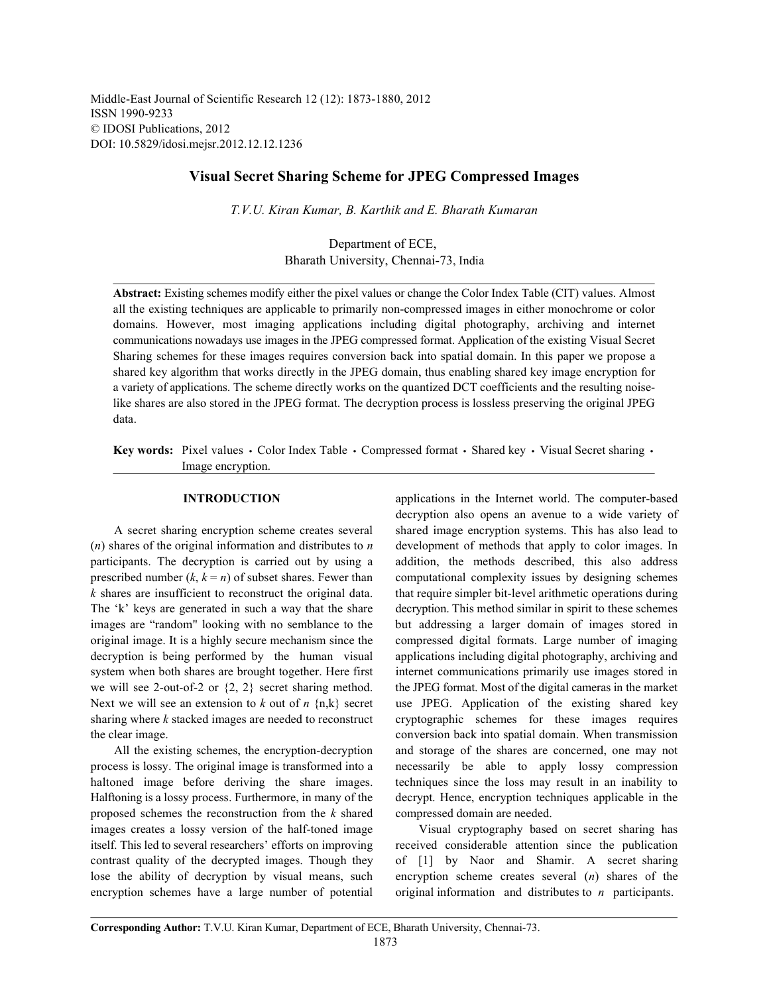Middle-East Journal of Scientific Research 12 (12): 1873-1880, 2012 ISSN 1990-9233 © IDOSI Publications, 2012 DOI: 10.5829/idosi.mejsr.2012.12.12.1236

# **Visual Secret Sharing Scheme for JPEG Compressed Images**

*T.V.U. Kiran Kumar, B. Karthik and E. Bharath Kumaran*

Department of ECE, Bharath University, Chennai-73, India

**Abstract:** Existing schemes modify either the pixel values or change the Color Index Table (CIT) values. Almost all the existing techniques are applicable to primarily non-compressed images in either monochrome or color domains. However, most imaging applications including digital photography, archiving and internet communications nowadays use images in the JPEG compressed format. Application of the existing Visual Secret Sharing schemes for these images requires conversion back into spatial domain. In this paper we propose a shared key algorithm that works directly in the JPEG domain, thus enabling shared key image encryption for a variety of applications. The scheme directly works on the quantized DCT coefficients and the resulting noiselike shares are also stored in the JPEG format. The decryption process is lossless preserving the original JPEG data.

**Key words:** Pixel values • Color Index Table • Compressed format • Shared key • Visual Secret sharing • Image encryption.

(*n*) shares of the original information and distributes to *n* development of methods that apply to color images. In participants. The decryption is carried out by using a addition, the methods described, this also address prescribed number  $(k, k = n)$  of subset shares. Fewer than computational complexity issues by designing schemes *k* shares are insufficient to reconstruct the original data. that require simpler bit-level arithmetic operations during The 'k' keys are generated in such a way that the share decryption. This method similar in spirit to these schemes images are "random" looking with no semblance to the but addressing a larger domain of images stored in original image. It is a highly secure mechanism since the compressed digital formats. Large number of imaging decryption is being performed by the human visual applications including digital photography, archiving and system when both shares are brought together. Here first internet communications primarily use images stored in we will see 2-out-of-2 or  $\{2, 2\}$  secret sharing method. the JPEG format. Most of the digital cameras in the market Next we will see an extension to  $k$  out of  $n \{n,k\}$  secret use JPEG. Application of the existing shared key sharing where *k* stacked images are needed to reconstruct cryptographic schemes for these images requires the clear image. conversion back into spatial domain. When transmission

process is lossy. The original image is transformed into a necessarily be able to apply lossy compression haltoned image before deriving the share images. techniques since the loss may result in an inability to Halftoning is a lossy process. Furthermore, in many of the decrypt. Hence, encryption techniques applicable in the proposed schemes the reconstruction from the *k* shared compressed domain are needed. images creates a lossy version of the half-toned image Visual cryptography based on secret sharing has itself. This led to several researchers' efforts on improving received considerable attention since the publication contrast quality of the decrypted images. Though they of [1] by Naor and Shamir. A secret sharing lose the ability of decryption by visual means, such encryption scheme creates several (*n*) shares of the encryption schemes have a large number of potential original information and distributes to *n* participants.

**INTRODUCTION** applications in the Internet world. The computer-based A secret sharing encryption scheme creates several shared image encryption systems. This has also lead to All the existing schemes, the encryption-decryption and storage of the shares are concerned, one may not decryption also opens an avenue to a wide variety of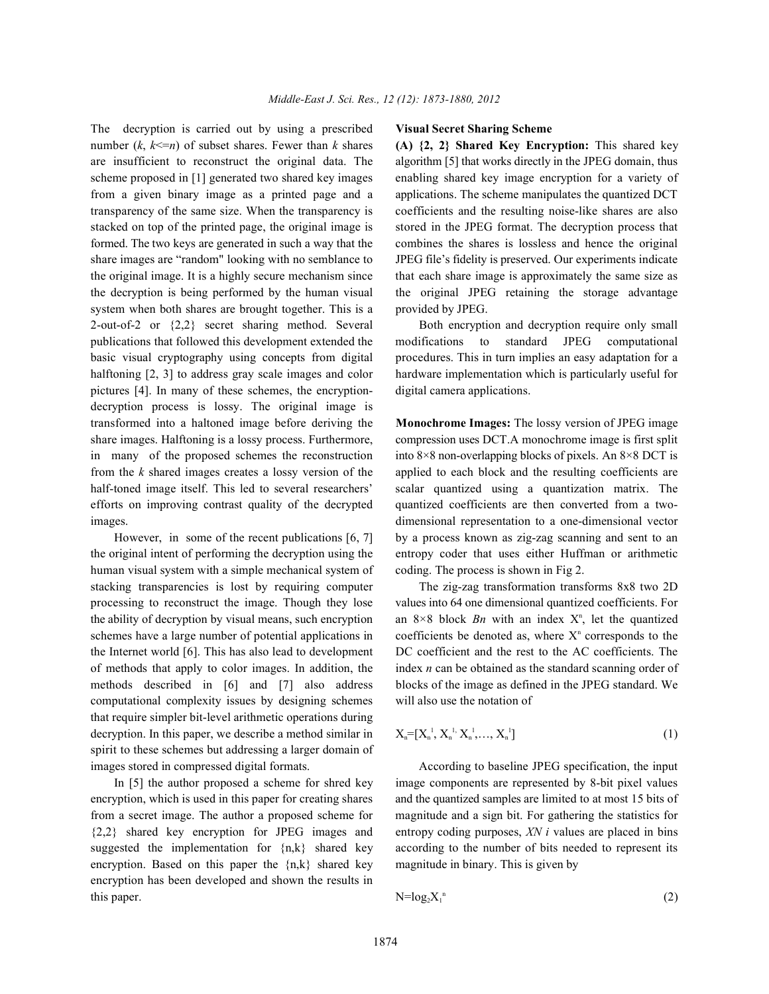The decryption is carried out by using a prescribed **Visual Secret Sharing Scheme** number  $(k, k \le n)$  of subset shares. Fewer than *k* shares **(A) {2, 2} Shared Key Encryption:** This shared key are insufficient to reconstruct the original data. The algorithm [5] that works directly in the JPEG domain, thus scheme proposed in [1] generated two shared key images enabling shared key image encryption for a variety of from a given binary image as a printed page and a applications. The scheme manipulates the quantized DCT transparency of the same size. When the transparency is coefficients and the resulting noise-like shares are also stacked on top of the printed page, the original image is stored in the JPEG format. The decryption process that formed. The two keys are generated in such a way that the combines the shares is lossless and hence the original share images are "random" looking with no semblance to JPEG file's fidelity is preserved. Our experiments indicate the original image. It is a highly secure mechanism since that each share image is approximately the same size as the decryption is being performed by the human visual the original JPEG retaining the storage advantage system when both shares are brought together. This is a provided by JPEG. 2-out-of-2 or {2,2} secret sharing method. Several Both encryption and decryption require only small publications that followed this development extended the modifications to standard JPEG computational basic visual cryptography using concepts from digital procedures. This in turn implies an easy adaptation for a halftoning [2, 3] to address gray scale images and color hardware implementation which is particularly useful for pictures [4]. In many of these schemes, the encryption- digital camera applications. decryption process is lossy. The original image is transformed into a haltoned image before deriving the **Monochrome Images:** The lossy version of JPEG image share images. Halftoning is a lossy process. Furthermore, compression uses DCT.A monochrome image is first split in many of the proposed schemes the reconstruction into  $8\times 8$  non-overlapping blocks of pixels. An  $8\times 8$  DCT is from the *k* shared images creates a lossy version of the applied to each block and the resulting coefficients are half-toned image itself. This led to several researchers' scalar quantized using a quantization matrix. The efforts on improving contrast quality of the decrypted quantized coefficients are then converted from a twoimages. dimensional representation to a one-dimensional vector

the original intent of performing the decryption using the entropy coder that uses either Huffman or arithmetic human visual system with a simple mechanical system of coding. The process is shown in Fig 2. stacking transparencies is lost by requiring computer The zig-zag transformation transforms 8x8 two 2D processing to reconstruct the image. Though they lose values into 64 one dimensional quantized coefficients. For schemes have a large number of potential applications in coefficients be denoted as, where  $X<sup>n</sup>$  corresponds to the the Internet world [6]. This has also lead to development DC coefficient and the rest to the AC coefficients. The of methods that apply to color images. In addition, the index *n* can be obtained as the standard scanning order of methods described in [6] and [7] also address blocks of the image as defined in the JPEG standard. We computational complexity issues by designing schemes will also use the notation of that require simpler bit-level arithmetic operations during decryption. In this paper, we describe a method similar in spirit to these schemes but addressing a larger domain of images stored in compressed digital formats. According to baseline JPEG specification, the input

encryption, which is used in this paper for creating shares and the quantized samples are limited to at most 15 bits of from a secret image. The author a proposed scheme for magnitude and a sign bit. For gathering the statistics for {2,2} shared key encryption for JPEG images and entropy coding purposes, *XN i* values are placed in bins suggested the implementation for  $\{n,k\}$  shared key according to the number of bits needed to represent its encryption. Based on this paper the  $\{n,k\}$  shared key magnitude in binary. This is given by encryption has been developed and shown the results in this paper. (2)  $N=\log_2 X_1$ <sup>n</sup> (2)

However, in some of the recent publications [6, 7] by a process known as zig-zag scanning and sent to an

the ability of decryption by visual means, such encryption an  $8 \times 8$  block *Bn* with an index  $X<sup>n</sup>$ , let the quantized

$$
X_n = [X_n^1, X_n^1, X_n^1, \dots, X_n^1]
$$
 (1)

In [5] the author proposed a scheme for shred key image components are represented by 8-bit pixel values

$$
N = \log_2 X_1^{n}
$$
 (2)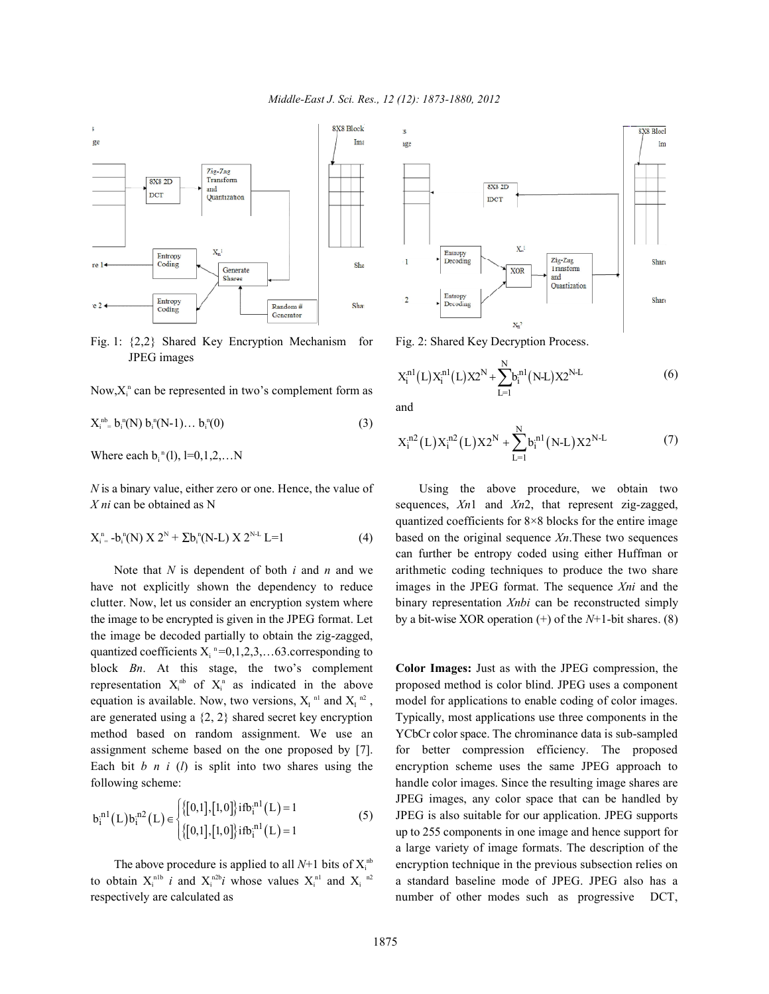

Fig. 1: {2,2} Shared Key Encryption Mechanism for Fig. 2: Shared Key Decryption Process. JPEG images

Now, $X_i^n$  can be represented in two's complement form as

$$
X_{i}^{nb} = b_{i}^{n}(N) b_{i}^{n}(N-1)... b_{i}^{n}(0)
$$
\n(3)

Where each  $b_i$ <sup>n</sup>(l), l=0,1,2,...N

*N* is a binary value, either zero or one. Hence, the value of Using the above procedure, we obtain two *X ni* can be obtained as N sequences, *Xn*1 and *Xn2*, that represent zig-zagged,

$$
X_{i}^{n} = b_{i}^{n}(N) X 2^{N} + \Sigma b_{i}^{n}(N-L) X 2^{N-L} L=1
$$
 (4)

have not explicitly shown the dependency to reduce images in the JPEG format. The sequence *Xni* and the clutter. Now, let us consider an encryption system where binary representation *Xnbi* can be reconstructed simply the image to be encrypted is given in the JPEG format. Let by a bit-wise XOR operation  $(+)$  of the  $N+1$ -bit shares. (8) the image be decoded partially to obtain the zig-zagged, quantized coefficients  $X_i$ <sup>n</sup>=0,1,2,3,...63.corresponding to block *Bn*. At this stage, the two's complement **Color Images:** Just as with the JPEG compression, the representation  $X_i^{nb}$  of  $X_i^{n}$  as indicated in the above equation is available. Now, two versions,  $X_I^{n_1}$  and  $X_I^{n_2}$ , are generated using a  $\{2, 2\}$  shared secret key encryption Typically, most applications use three components in the method based on random assignment. We use an YCbCr color space. The chrominance data is sub-sampled assignment scheme based on the one proposed by [7]. for better compression efficiency. The proposed Each bit *b n i* (*l*) is split into two shares using the encryption scheme uses the same JPEG approach to following scheme: handle color images. Since the resulting image shares are

$$
b_i^{n1}(L)b_i^{n2}(L) \in \begin{cases} \{[0,1],[1,0]\} \text{ if } b_i^{n1}(L) = 1\\ \{[0,1],[1,0]\} \text{ if } b_i^{n1}(L) = 1 \end{cases} \tag{5}
$$

The above procedure is applied to all  $N+1$  bits of  $X_i^{\text{nb}}$ to obtain  $X_i^{n1b}$  i and  $X_i^{n2b}$  whose values  $X_i^{n1}$  and  $X_i^{n2}$ respectively are calculated as number of other modes such as progressive DCT,



$$
X_i^{n1}(L)X_i^{n1}(L)X2^N + \sum_{L=1}^N b_i^{n1}(N-L)X2^{N-L}
$$
 (6)

and

$$
X_i^{n2}(L)X_i^{n2}(L)X2^N + \sum_{L=1}^N b_i^{n1}(N-L)X2^{N-L}
$$
 (7)

quantized coefficients for 8×8 blocks for the entire image based on the original sequence *Xn*.These two sequences Note that *N* is dependent of both *i* and *n* and we arithmetic coding techniques to produce the two share can further be entropy coded using either Huffman or

> proposed method is color blind. JPEG uses a component model for applications to enable coding of color images. (5) JPEG is also suitable for our application. JPEG supports encryption technique in the previous subsection relies on a standard baseline mode of JPEG. JPEG also has a JPEG images, any color space that can be handled by up to 255 components in one image and hence support for a large variety of image formats. The description of the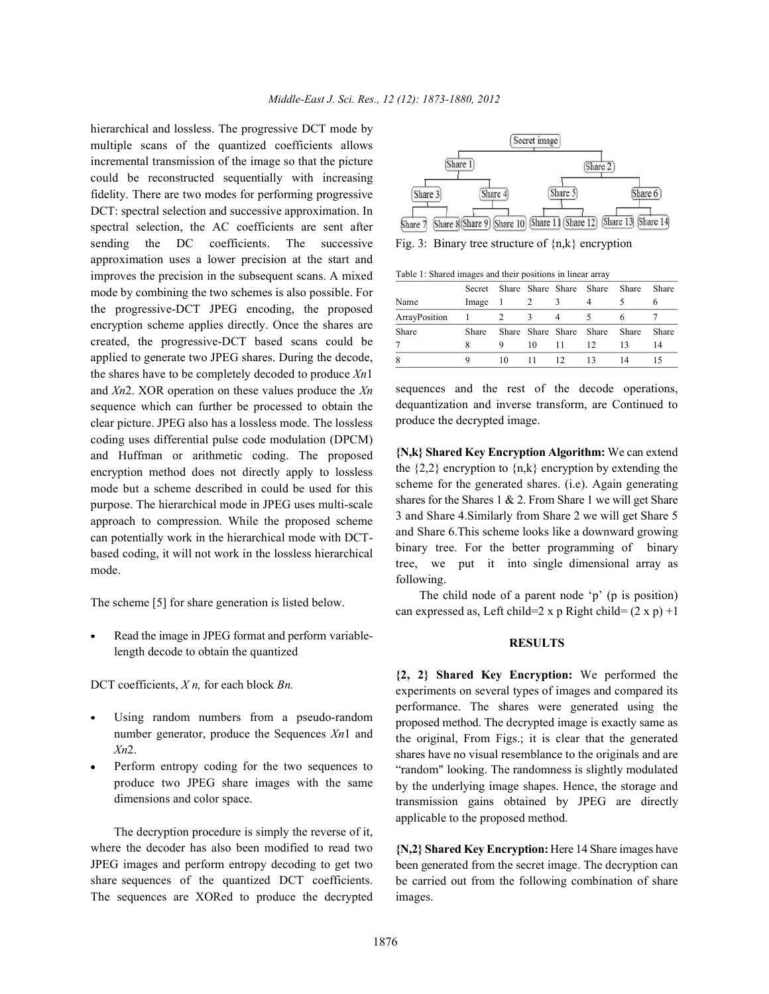hierarchical and lossless. The progressive DCT mode by multiple scans of the quantized coefficients allows incremental transmission of the image so that the picture could be reconstructed sequentially with increasing fidelity. There are two modes for performing progressive DCT: spectral selection and successive approximation. In spectral selection, the AC coefficients are sent after sending the DC coefficients. The successive Fig. 3: Binary tree structure of  $\{n,k\}$  encryption approximation uses a lower precision at the start and improves the precision in the subsequent scans. A mixed mode by combining the two schemes is also possible. For the progressive-DCT JPEG encoding, the proposed encryption scheme applies directly. Once the shares are created, the progressive-DCT based scans could be applied to generate two JPEG shares. During the decode, the shares have to be completely decoded to produce *Xn*1 and *Xn*2. XOR operation on these values produce the *Xn* sequence which can further be processed to obtain the clear picture. JPEG also has a lossless mode. The lossless coding uses differential pulse code modulation (DPCM) and Huffman or arithmetic coding. The proposed encryption method does not directly apply to lossless mode but a scheme described in could be used for this purpose. The hierarchical mode in JPEG uses multi-scale approach to compression. While the proposed scheme can potentially work in the hierarchical mode with DCTbased coding, it will not work in the lossless hierarchical mode.

The scheme [5] for share generation is listed below.

Read the image in JPEG format and perform variablelength decode to obtain the quantized

DCT coefficients, *X n,* for each block *Bn.*

- Using random numbers from a pseudo-random number generator, produce the Sequences *Xn*1 and *Xn*2.
- Perform entropy coding for the two sequences to produce two JPEG share images with the same dimensions and color space.

The decryption procedure is simply the reverse of it, where the decoder has also been modified to read two JPEG images and perform entropy decoding to get two share sequences of the quantized DCT coefficients. The sequences are XORed to produce the decrypted



Table 1: Shared images and their positions in linear array

| Table 1. Shared mages and their positions in imeal array |               |     |                         |                         |                         |       |              |  |  |  |  |  |
|----------------------------------------------------------|---------------|-----|-------------------------|-------------------------|-------------------------|-------|--------------|--|--|--|--|--|
|                                                          | Secret        |     |                         | Share Share Share Share |                         | Share | Share        |  |  |  |  |  |
| Name                                                     | Image         | - 1 |                         |                         |                         |       |              |  |  |  |  |  |
| ArrayPosition                                            | $\frac{1}{2}$ |     | $\overline{\mathbf{3}}$ |                         |                         |       |              |  |  |  |  |  |
| Share                                                    | Share         |     |                         |                         | Share Share Share Share | Share | <b>Share</b> |  |  |  |  |  |
| 7                                                        |               |     | 10                      | -11                     | 12                      | 13    | 14           |  |  |  |  |  |
| 8                                                        | 9             | 10  |                         | 12                      | 13                      | 14    |              |  |  |  |  |  |

sequences and the rest of the decode operations, dequantization and inverse transform, are Continued to produce the decrypted image.

**{N,k} Shared Key Encryption Algorithm:** We can extend the  $\{2,2\}$  encryption to  $\{n,k\}$  encryption by extending the scheme for the generated shares. (i.e). Again generating shares for the Shares 1  $& 2$ . From Share 1 we will get Share 3 and Share 4.Similarly from Share 2 we will get Share 5 and Share 6.This scheme looks like a downward growing binary tree. For the better programming of binary tree, we put it into single dimensional array as following.

The child node of a parent node 'p' (p is position) can expressed as, Left child=2 x p Right child=  $(2 \times p) +1$ 

## **RESULTS**

**{2, 2} Shared Key Encryption:** We performed the experiments on several types of images and compared its performance. The shares were generated using the proposed method. The decrypted image is exactly same as the original, From Figs.; it is clear that the generated shares have no visual resemblance to the originals and are "random" looking. The randomness is slightly modulated by the underlying image shapes. Hence, the storage and transmission gains obtained by JPEG are directly applicable to the proposed method.

**{N,2} Shared Key Encryption:** Here 14 Share images have been generated from the secret image. The decryption can be carried out from the following combination of share images.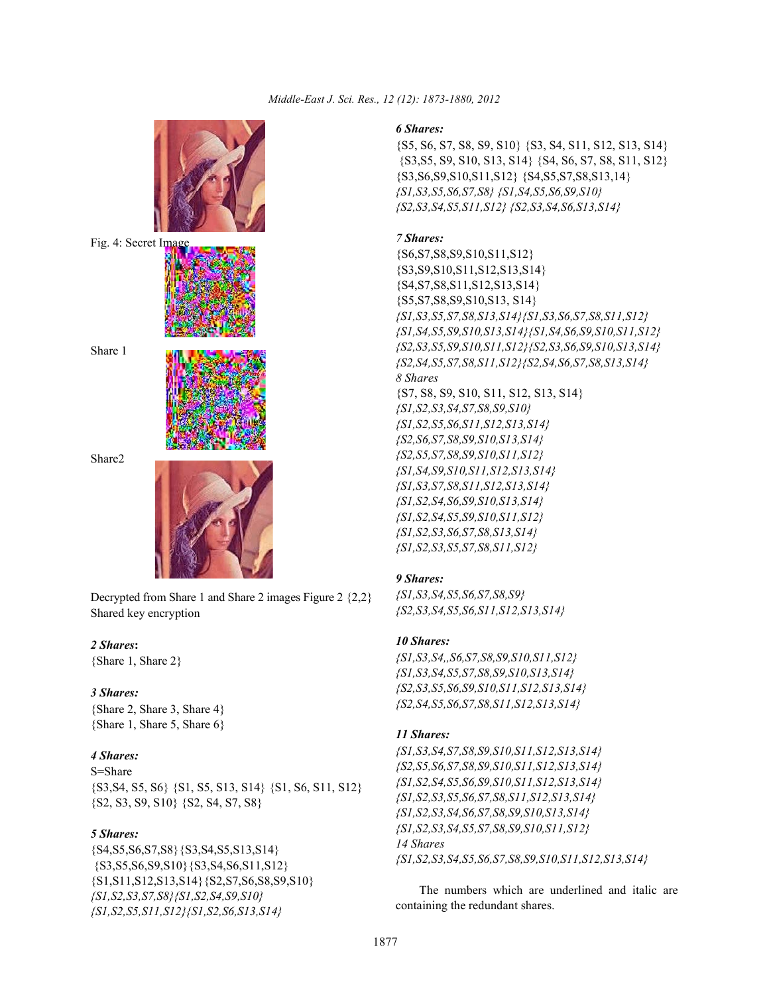

Decrypted from Share 1 and Share 2 images Figure 2 {2,2} Shared key encryption

## *2 Shares***:**

{Share 1, Share 2}

## *3 Shares:*

{Share 2, Share 3, Share 4} {Share 1, Share 5, Share 6}

## *4 Shares:*

S=Share {S3,S4, S5, S6} {S1, S5, S13, S14} {S1, S6, S11, S12} {S2, S3, S9, S10} {S2, S4, S7, S8}

## *5 Shares:*

{S4,S5,S6,S7,S8}{S3,S4,S5,S13,S14} {S3,S5,S6,S9,S10}{S3,S4,S6,S11,S12} {S1,S11,S12,S13,S14}{S2,S7,S6,S8,S9,S10} *{S1,S2,S3,S7,S8}{S1,S2,S4,S9,S10} {S1,S2,S5,S11,S12}{S1,S2,S6,S13,S14}*

### *6 Shares:*

{S5, S6, S7, S8, S9, S10} {S3, S4, S11, S12, S13, S14} {S3,S5, S9, S10, S13, S14} {S4, S6, S7, S8, S11, S12} {S3,S6,S9,S10,S11,S12} {S4,S5,S7,S8,S13,14} *{S1,S3,S5,S6,S7,S8} {S1,S4,S5,S6,S9,S10} {S2,S3,S4,S5,S11,S12} {S2,S3,S4,S6,S13,S14}*

### *7 Shares:*

{S6,S7,S8,S9,S10,S11,S12} {S3,S9,S10,S11,S12,S13,S14} {S4,S7,S8,S11,S12,S13,S14} {S5,S7,S8,S9,S10,S13, S14} *{S1,S3,S5,S7,S8,S13,S14}{S1,S3,S6,S7,S8,S11,S12} {S1,S4,S5,S9,S10,S13,S14}{S1,S4,S6,S9,S10,S11,S12} {S2,S3,S5,S9,S10,S11,S12}{S2,S3,S6,S9,S10,S13,S14} {S2,S4,S5,S7,S8,S11,S12}{S2,S4,S6,S7,S8,S13,S14} 8 Shares* {S7, S8, S9, S10, S11, S12, S13, S14} *{S1,S2,S3,S4,S7,S8,S9,S10} {S1,S2,S5,S6,S11,S12,S13,S14} {S2,S6,S7,S8,S9,S10,S13,S14} {S2,S5,S7,S8,S9,S10,S11,S12} {S1,S4,S9,S10,S11,S12,S13,S14} {S1,S3,S7,S8,S11,S12,S13,S14} {S1,S2,S4,S6,S9,S10,S13,S14} {S1,S2,S4,S5,S9,S10,S11,S12} {S1,S2,S3,S6,S7,S8,S13,S14} {S1,S2,S3,S5,S7,S8,S11,S12}*

## *9 Shares:*

*{S1,S3,S4,S5,S6,S7,S8,S9} {S2,S3,S4,S5,S6,S11,S12,S13,S14}*

## *10 Shares:*

*{S1,S3,S4,,S6,S7,S8,S9,S10,S11,S12} {S1,S3,S4,S5,S7,S8,S9,S10,S13,S14} {S2,S3,S5,S6,S9,S10,S11,S12,S13,S14} {S2,S4,S5,S6,S7,S8,S11,S12,S13,S14}*

### *11 Shares:*

*{S1,S3,S4,S7,S8,S9,S10,S11,S12,S13,S14} {S2,S5,S6,S7,S8,S9,S10,S11,S12,S13,S14} {S1,S2,S4,S5,S6,S9,S10,S11,S12,S13,S14} {S1,S2,S3,S5,S6,S7,S8,S11,S12,S13,S14} {S1,S2,S3,S4,S6,S7,S8,S9,S10,S13,S14} {S1,S2,S3,S4,S5,S7,S8,S9,S10,S11,S12} 14 Shares {S1,S2,S3,S4,S5,S6,S7,S8,S9,S10,S11,S12,S13,S14}*

The numbers which are underlined and italic are containing the redundant shares.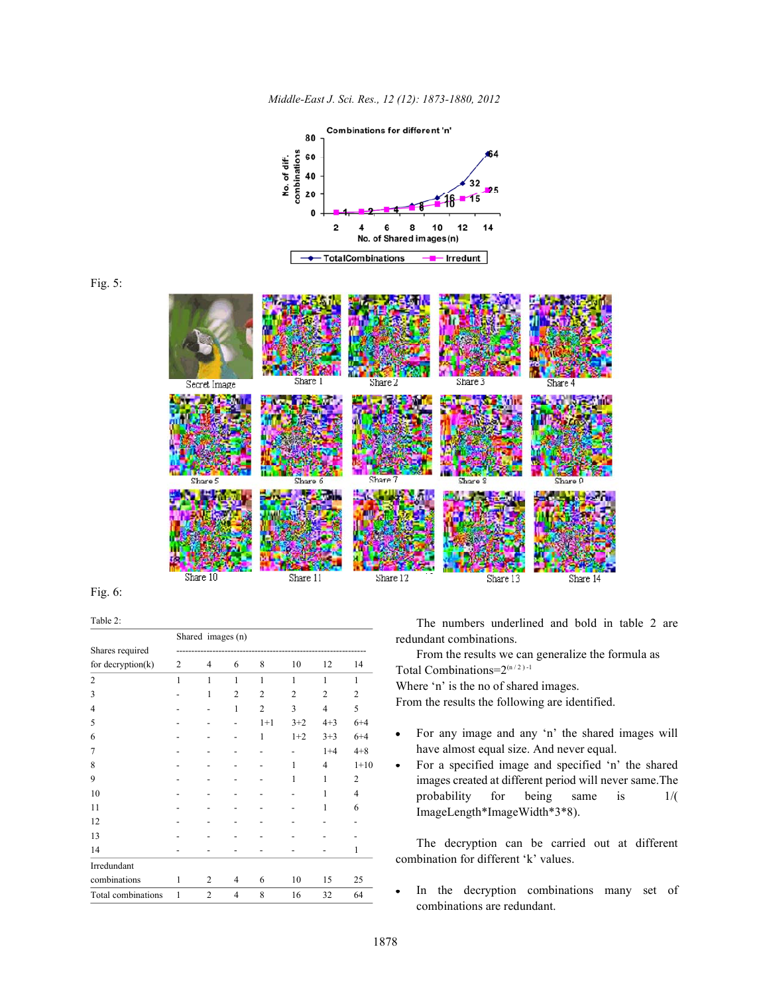

*Middle-East J. Sci. Res., 12 (12): 1873-1880, 2012*

Fig. 5:

Fig. 6:

Table 2:

|                      | Shared images (n) |                |                |                |                |                |                |  |  |  |
|----------------------|-------------------|----------------|----------------|----------------|----------------|----------------|----------------|--|--|--|
| Shares required      |                   |                |                |                |                |                |                |  |  |  |
| for decryption $(k)$ | 2                 | 4              | 6              | 8              | 10             | 12             | 14             |  |  |  |
| $\overline{c}$       | 1                 | 1              | $\mathbf{1}$   | 1              | 1              | 1              | 1              |  |  |  |
| 3                    |                   | 1              | $\overline{2}$ | $\overline{2}$ | $\overline{2}$ | $\overline{2}$ | $\overline{2}$ |  |  |  |
| $\overline{4}$       |                   |                | 1              | $\overline{2}$ | 3              | $\overline{4}$ | 5              |  |  |  |
| 5                    |                   |                |                | $1+1$          | $3+2$          | $4 + 3$        | $6 + 4$        |  |  |  |
| 6                    |                   |                |                | 1              | $1+2$          | $3 + 3$        | $6 + 4$        |  |  |  |
| 7                    |                   |                |                |                |                | $1 + 4$        | $4 + 8$        |  |  |  |
| 8                    |                   |                |                |                | 1              | $\overline{4}$ | $1+10$         |  |  |  |
| 9                    |                   |                |                |                | 1              | 1              | $\overline{2}$ |  |  |  |
| 10                   |                   |                |                |                |                | 1              | 4              |  |  |  |
| 11                   |                   |                |                |                |                | 1              | 6              |  |  |  |
| 12                   |                   |                |                |                |                |                |                |  |  |  |
| 13                   |                   |                |                |                |                |                |                |  |  |  |
| 14                   |                   |                |                |                |                |                | 1              |  |  |  |
| Irredundant          |                   |                |                |                |                |                |                |  |  |  |
| combinations         | 1                 | 2              | 4              | 6              | 10             | 15             | 25             |  |  |  |
| Total combinations   | 1                 | $\overline{2}$ | $\overline{4}$ | 8              | 16             | 32             | 64             |  |  |  |

The numbers underlined and bold in table 2 are redundant combinations.

From the results we can generalize the formula as Total Combinations= $2^{(n/2)-1}$ 

Where 'n' is the no of shared images.

From the results the following are identified.

- For any image and any 'n' the shared images will  $\bullet$ have almost equal size. And never equal.
- For a specified image and specified 'n' the shared images created at different period will never same.The probability for being same is 1/( ImageLength\*ImageWidth\*3\*8).

The decryption can be carried out at different combination for different 'k' values.

In the decryption combinations many set of  $\bullet$ combinations are redundant.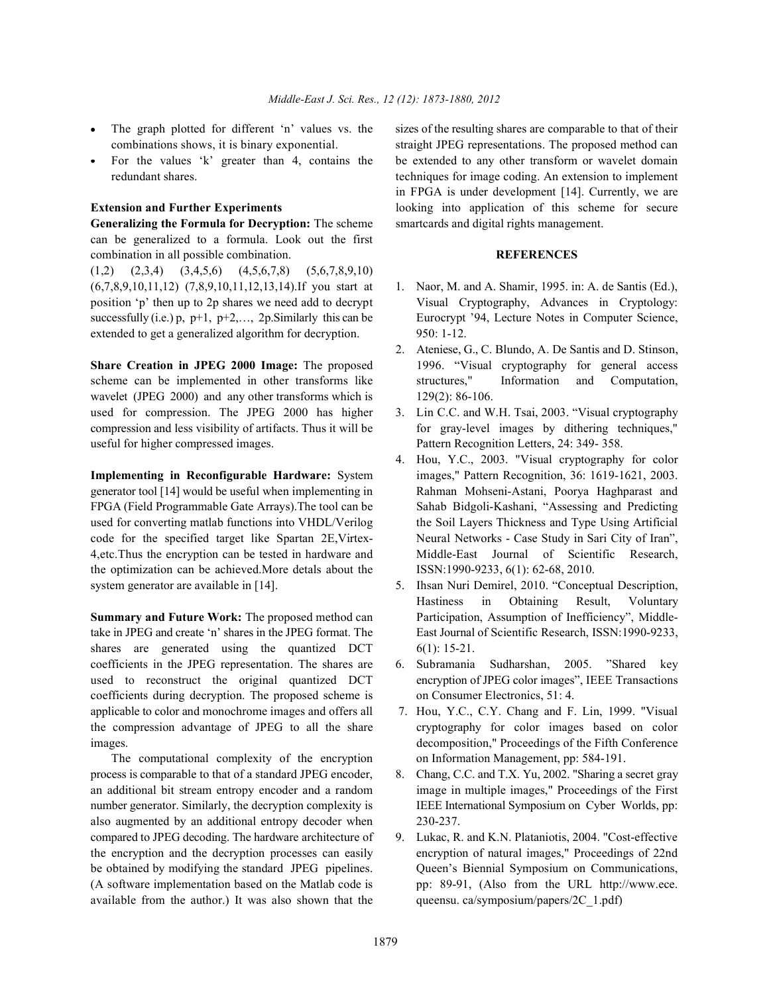- 
- 

**Generalizing the Formula for Decryption:** The scheme smartcards and digital rights management. can be generalized to a formula. Look out the first combination in all possible combination. **REFERENCES**

 $(1,2)$   $(2,3,4)$   $(3,4,5,6)$   $(4,5,6,7,8)$   $(5,6,7,8,9,10)$ (6,7,8,9,10,11,12) (7,8,9,10,11,12,13,14).If you start at 1. Naor, M. and A. Shamir, 1995. in: A. de Santis (Ed.), position 'p' then up to 2p shares we need add to decrypt Visual Cryptography, Advances in Cryptology: successfully  $(i.e.) p, p+1, p+2,..., 2p$ . Similarly this can be Eurocrypt '94, Lecture Notes in Computer Science, extended to get a generalized algorithm for decryption. 950: 1-12.

scheme can be implemented in other transforms like structures," Information and Computation, wavelet (JPEG 2000) and any other transforms which is 129(2): 86-106. used for compression. The JPEG 2000 has higher 3. Lin C.C. and W.H. Tsai, 2003. "Visual cryptography compression and less visibility of artifacts. Thus it will be for gray-level images by dithering techniques," useful for higher compressed images. Pattern Recognition Letters, 24: 349- 358.

generator tool [14] would be useful when implementing in Rahman Mohseni-Astani, Poorya Haghparast and FPGA (Field Programmable Gate Arrays).The tool can be Sahab Bidgoli-Kashani, "Assessing and Predicting used for converting matlab functions into VHDL/Verilog the Soil Layers Thickness and Type Using Artificial code for the specified target like Spartan 2E,Virtex- Neural Networks - Case Study in Sari City of Iran", 4,etc.Thus the encryption can be tested in hardware and Middle-East Journal of Scientific Research, the optimization can be achieved.More detals about the ISSN:1990-9233, 6(1): 62-68, 2010. system generator are available in [14]. 5. Ihsan Nuri Demirel, 2010. "Conceptual Description,

take in JPEG and create 'n' shares in the JPEG format. The East Journal of Scientific Research, ISSN:1990-9233, shares are generated using the quantized DCT 6(1): 15-21. coefficients in the JPEG representation. The shares are 6. Subramania Sudharshan, 2005. "Shared key used to reconstruct the original quantized DCT encryption of JPEG color images", IEEE Transactions coefficients during decryption. The proposed scheme is on Consumer Electronics, 51:4. applicable to color and monochrome images and offers all 7. Hou, Y.C., C.Y. Chang and F. Lin, 1999. "Visual the compression advantage of JPEG to all the share cryptography for color images based on color images. decomposition," Proceedings of the Fifth Conference

The computational complexity of the encryption on Information Management, pp: 584-191. process is comparable to that of a standard JPEG encoder, 8. Chang, C.C. and T.X. Yu, 2002. "Sharing a secret gray an additional bit stream entropy encoder and a random image in multiple images," Proceedings of the First number generator. Similarly, the decryption complexity is IEEE International Symposium on Cyber Worlds, pp: also augmented by an additional entropy decoder when 230-237. compared to JPEG decoding. The hardware architecture of 9. Lukac, R. and K.N. Plataniotis, 2004. "Cost-effective be obtained by modifying the standard JPEG pipelines. Queen's Biennial Symposium on Communications, (A software implementation based on the Matlab code is pp: 89-91, (Also from the URL http://www.ece. available from the author.) It was also shown that the queensu. ca/symposium/papers/2C 1.pdf)

The graph plotted for different 'n' values vs. the sizes of the resulting shares are comparable to that of their combinations shows, it is binary exponential. straight JPEG representations. The proposed method can For the values 'k' greater than 4, contains the be extended to any other transform or wavelet domain redundant shares. techniques for image coding. An extension to implement **Extension and Further Experiments** looking into application of this scheme for secure in FPGA is under development [14]. Currently, we are

- 
- **Share Creation in JPEG 2000 Image:** The proposed 1996. "Visual cryptography for general access 2. Ateniese, G., C. Blundo, A. De Santis and D. Stinson,
	-
- 4. Hou, Y.C., 2003. "Visual cryptography for color **Implementing in Reconfigurable Hardware:** System images," Pattern Recognition, 36: 1619-1621, 2003.
- **Summary and Future Work:** The proposed method can Participation, Assumption of Inefficiency", Middle-Hastiness in Obtaining Result, Voluntary
	-
	-
	-
- the encryption and the decryption processes can easily encryption of natural images," Proceedings of 22nd